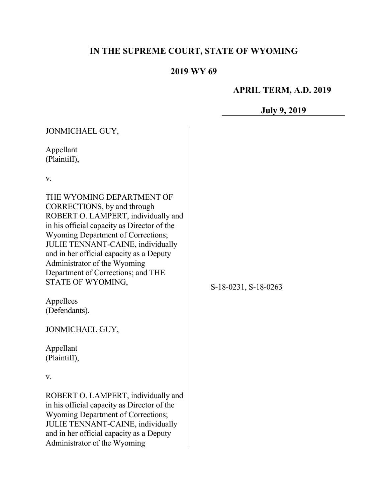# **IN THE SUPREME COURT, STATE OF WYOMING**

## **2019 WY 69**

# **APRIL TERM, A.D. 2019**

# **July 9, 2019**

| JONMICHAEL GUY,                                                                                                                                                                                                                                                                                                                                                  |                      |
|------------------------------------------------------------------------------------------------------------------------------------------------------------------------------------------------------------------------------------------------------------------------------------------------------------------------------------------------------------------|----------------------|
| Appellant<br>(Plaintiff),                                                                                                                                                                                                                                                                                                                                        |                      |
| V.                                                                                                                                                                                                                                                                                                                                                               |                      |
| THE WYOMING DEPARTMENT OF<br>CORRECTIONS, by and through<br>ROBERT O. LAMPERT, individually and<br>in his official capacity as Director of the<br>Wyoming Department of Corrections;<br>JULIE TENNANT-CAINE, individually<br>and in her official capacity as a Deputy<br>Administrator of the Wyoming<br>Department of Corrections; and THE<br>STATE OF WYOMING, | S-18-0231, S-18-0263 |
| Appellees                                                                                                                                                                                                                                                                                                                                                        |                      |
| (Defendants).                                                                                                                                                                                                                                                                                                                                                    |                      |
| JONMICHAEL GUY,                                                                                                                                                                                                                                                                                                                                                  |                      |
| Appellant<br>(Plaintiff),                                                                                                                                                                                                                                                                                                                                        |                      |
| V.                                                                                                                                                                                                                                                                                                                                                               |                      |
| ROBERT O. LAMPERT, individually and<br>in his official capacity as Director of the<br>Wyoming Department of Corrections;<br>JULIE TENNANT-CAINE, individually<br>and in her official capacity as a Deputy<br>Administrator of the Wyoming                                                                                                                        |                      |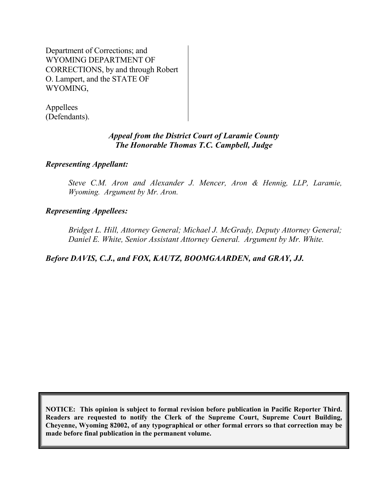Department of Corrections; and WYOMING DEPARTMENT OF CORRECTIONS, by and through Robert O. Lampert, and the STATE OF WYOMING,

Appellees (Defendants).

## *Appeal from the District Court of Laramie County The Honorable Thomas T.C. Campbell, Judge*

## *Representing Appellant:*

*Steve C.M. Aron and Alexander J. Mencer, Aron & Hennig, LLP, Laramie, Wyoming. Argument by Mr. Aron.*

## *Representing Appellees:*

*Bridget L. Hill, Attorney General; Michael J. McGrady, Deputy Attorney General; Daniel E. White, Senior Assistant Attorney General. Argument by Mr. White.*

*Before DAVIS, C.J., and FOX, KAUTZ, BOOMGAARDEN, and GRAY, JJ.*

**NOTICE: This opinion is subject to formal revision before publication in Pacific Reporter Third. Readers are requested to notify the Clerk of the Supreme Court, Supreme Court Building, Cheyenne, Wyoming 82002, of any typographical or other formal errors so that correction may be made before final publication in the permanent volume.**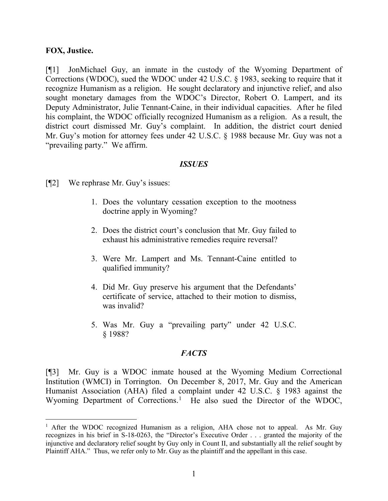#### **FOX, Justice.**

[¶1] JonMichael Guy, an inmate in the custody of the Wyoming Department of Corrections (WDOC), sued the WDOC under 42 U.S.C. § 1983, seeking to require that it recognize Humanism as a religion. He sought declaratory and injunctive relief, and also sought monetary damages from the WDOC's Director, Robert O. Lampert, and its Deputy Administrator, Julie Tennant-Caine, in their individual capacities. After he filed his complaint, the WDOC officially recognized Humanism as a religion. As a result, the district court dismissed Mr. Guy's complaint. In addition, the district court denied Mr. Guy's motion for attorney fees under 42 U.S.C. § 1988 because Mr. Guy was not a "prevailing party." We affirm.

#### *ISSUES*

- [¶2] We rephrase Mr. Guy's issues:
	- 1. Does the voluntary cessation exception to the mootness doctrine apply in Wyoming?
	- 2. Does the district court's conclusion that Mr. Guy failed to exhaust his administrative remedies require reversal?
	- 3. Were Mr. Lampert and Ms. Tennant-Caine entitled to qualified immunity?
	- 4. Did Mr. Guy preserve his argument that the Defendants' certificate of service, attached to their motion to dismiss, was invalid?
	- 5. Was Mr. Guy a "prevailing party" under 42 U.S.C. § 1988?

#### *FACTS*

[¶3] Mr. Guy is a WDOC inmate housed at the Wyoming Medium Correctional Institution (WMCI) in Torrington. On December 8, 2017, Mr. Guy and the American Humanist Association (AHA) filed a complaint under 42 U.S.C. § 1983 against the Wyoming Department of Corrections.<sup>[1](#page-2-0)</sup> He also sued the Director of the WDOC,

<span id="page-2-0"></span><sup>&</sup>lt;sup>1</sup> After the WDOC recognized Humanism as a religion, AHA chose not to appeal. As Mr. Guy recognizes in his brief in S-18-0263, the "Director's Executive Order . . . granted the majority of the injunctive and declaratory relief sought by Guy only in Count II, and substantially all the relief sought by Plaintiff AHA." Thus, we refer only to Mr. Guy as the plaintiff and the appellant in this case.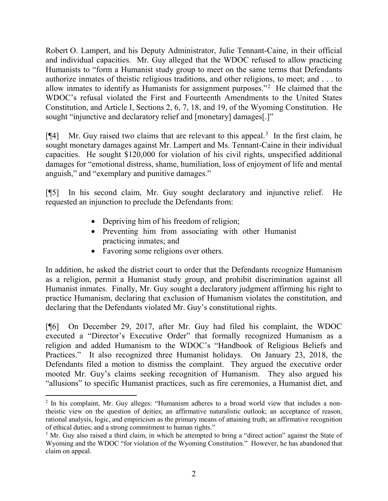Robert O. Lampert, and his Deputy Administrator, Julie Tennant-Caine, in their official and individual capacities. Mr. Guy alleged that the WDOC refused to allow practicing Humanists to "form a Humanist study group to meet on the same terms that Defendants authorize inmates of theistic religious traditions, and other religions, to meet; and . . . to allow inmates to identify as Humanists for assignment purposes."[2](#page-3-0) He claimed that the WDOC's refusal violated the First and Fourteenth Amendments to the United States Constitution, and Article I, Sections 2, 6, 7, 18, and 19, of the Wyoming Constitution. He sought "injunctive and declaratory relief and [monetary] damages[.]"

[¶4] Mr. Guy raised two claims that are relevant to this appeal.<sup>[3](#page-3-1)</sup> In the first claim, he sought monetary damages against Mr. Lampert and Ms. Tennant-Caine in their individual capacities. He sought \$120,000 for violation of his civil rights, unspecified additional damages for "emotional distress, shame, humiliation, loss of enjoyment of life and mental anguish," and "exemplary and punitive damages."

[¶5] In his second claim, Mr. Guy sought declaratory and injunctive relief. He requested an injunction to preclude the Defendants from:

- Depriving him of his freedom of religion;
- Preventing him from associating with other Humanist practicing inmates; and
- Favoring some religions over others.

In addition, he asked the district court to order that the Defendants recognize Humanism as a religion, permit a Humanist study group, and prohibit discrimination against all Humanist inmates. Finally, Mr. Guy sought a declaratory judgment affirming his right to practice Humanism, declaring that exclusion of Humanism violates the constitution, and declaring that the Defendants violated Mr. Guy's constitutional rights.

[¶6] On December 29, 2017, after Mr. Guy had filed his complaint, the WDOC executed a "Director's Executive Order" that formally recognized Humanism as a religion and added Humanism to the WDOC's "Handbook of Religious Beliefs and Practices." It also recognized three Humanist holidays. On January 23, 2018, the Defendants filed a motion to dismiss the complaint. They argued the executive order mooted Mr. Guy's claims seeking recognition of Humanism. They also argued his "allusions" to specific Humanist practices, such as fire ceremonies, a Humanist diet, and

<span id="page-3-0"></span><sup>&</sup>lt;sup>2</sup> In his complaint, Mr. Guy alleges: "Humanism adheres to a broad world view that includes a nontheistic view on the question of deities; an affirmative naturalistic outlook; an acceptance of reason, rational analysis, logic, and empiricism as the primary means of attaining truth; an affirmative recognition of ethical duties; and a strong commitment to human rights."

<span id="page-3-1"></span><sup>&</sup>lt;sup>3</sup> Mr. Guy also raised a third claim, in which he attempted to bring a "direct action" against the State of Wyoming and the WDOC "for violation of the Wyoming Constitution." However, he has abandoned that claim on appeal.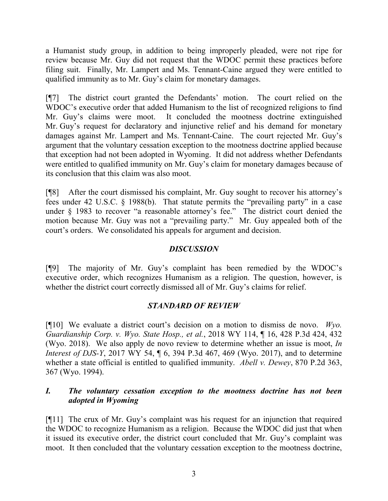a Humanist study group, in addition to being improperly pleaded, were not ripe for review because Mr. Guy did not request that the WDOC permit these practices before filing suit. Finally, Mr. Lampert and Ms. Tennant-Caine argued they were entitled to qualified immunity as to Mr. Guy's claim for monetary damages.

[¶7] The district court granted the Defendants' motion. The court relied on the WDOC's executive order that added Humanism to the list of recognized religions to find Mr. Guy's claims were moot. It concluded the mootness doctrine extinguished Mr. Guy's request for declaratory and injunctive relief and his demand for monetary damages against Mr. Lampert and Ms. Tennant-Caine. The court rejected Mr. Guy's argument that the voluntary cessation exception to the mootness doctrine applied because that exception had not been adopted in Wyoming. It did not address whether Defendants were entitled to qualified immunity on Mr. Guy's claim for monetary damages because of its conclusion that this claim was also moot.

[¶8] After the court dismissed his complaint, Mr. Guy sought to recover his attorney's fees under 42 U.S.C. § 1988(b). That statute permits the "prevailing party" in a case under § 1983 to recover "a reasonable attorney's fee." The district court denied the motion because Mr. Guy was not a "prevailing party." Mr. Guy appealed both of the court's orders. We consolidated his appeals for argument and decision.

### *DISCUSSION*

[¶9] The majority of Mr. Guy's complaint has been remedied by the WDOC's executive order, which recognizes Humanism as a religion. The question, however, is whether the district court correctly dismissed all of Mr. Guy's claims for relief.

## *STANDARD OF REVIEW*

[¶10] We evaluate a district court's decision on a motion to dismiss de novo. *Wyo. Guardianship Corp. v. Wyo. State Hosp., et al.*, 2018 WY 114, ¶ 16, 428 P.3d 424, 432 (Wyo. 2018). We also apply de novo review to determine whether an issue is moot, *In Interest of DJS-Y*, 2017 WY 54,  $\parallel$  6, 394 P.3d 467, 469 (Wyo. 2017), and to determine whether a state official is entitled to qualified immunity. *Abell v. Dewey*, 870 P.2d 363, 367 (Wyo. 1994).

## *I. The voluntary cessation exception to the mootness doctrine has not been adopted in Wyoming*

[¶11] The crux of Mr. Guy's complaint was his request for an injunction that required the WDOC to recognize Humanism as a religion. Because the WDOC did just that when it issued its executive order, the district court concluded that Mr. Guy's complaint was moot. It then concluded that the voluntary cessation exception to the mootness doctrine,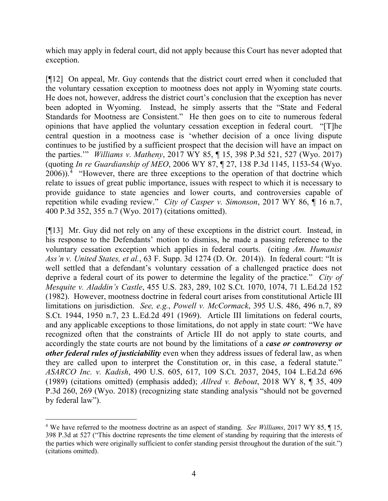which may apply in federal court, did not apply because this Court has never adopted that exception.

[¶12] On appeal, Mr. Guy contends that the district court erred when it concluded that the voluntary cessation exception to mootness does not apply in Wyoming state courts. He does not, however, address the district court's conclusion that the exception has never been adopted in Wyoming. Instead, he simply asserts that the "State and Federal Standards for Mootness are Consistent." He then goes on to cite to numerous federal opinions that have applied the voluntary cessation exception in federal court. "[T]he central question in a mootness case is 'whether decision of a once living dispute continues to be justified by a sufficient prospect that the decision will have an impact on the parties.'" *Williams v. Matheny*, 2017 WY 85, ¶ 15, 398 P.3d 521, 527 (Wyo. 2017) (quoting *In re Guardianship of MEO*, 2006 WY 87, ¶ 27, 138 P.3d 1145, 1153-54 (Wyo.  $2006$ )).<sup>[4](#page-5-0)</sup> "However, there are three exceptions to the operation of that doctrine which relate to issues of great public importance, issues with respect to which it is necessary to provide guidance to state agencies and lower courts, and controversies capable of repetition while evading review." *City of Casper v. Simonson*, 2017 WY 86, ¶ 16 n.7, 400 P.3d 352, 355 n.7 (Wyo. 2017) (citations omitted).

[¶13] Mr. Guy did not rely on any of these exceptions in the district court. Instead, in his response to the Defendants' motion to dismiss, he made a passing reference to the voluntary cessation exception which applies in federal courts. (citing *Am. Humanist Ass'n v. United States, et al.*, 63 F. Supp. 3d 1274 (D. Or. 2014)). In federal court: "It is well settled that a defendant's voluntary cessation of a challenged practice does not deprive a federal court of its power to determine the legality of the practice." *City of Mesquite v. Aladdin's Castle*, 455 U.S. 283, 289, 102 S.Ct. 1070, 1074, 71 L.Ed.2d 152 (1982). However, mootness doctrine in federal court arises from constitutional Article III limitations on jurisdiction. *See, e.g.*, *Powell v. McCormack*, 395 U.S. 486, 496 n.7, 89 S.Ct. 1944, 1950 n.7, 23 L.Ed.2d 491 (1969). Article III limitations on federal courts, and any applicable exceptions to those limitations, do not apply in state court: "We have recognized often that the constraints of Article III do not apply to state courts, and accordingly the state courts are not bound by the limitations of a *case or controversy or other federal rules of justiciability* even when they address issues of federal law, as when they are called upon to interpret the Constitution or, in this case, a federal statute." *ASARCO Inc. v. Kadish*, 490 U.S. 605, 617, 109 S.Ct. 2037, 2045, 104 L.Ed.2d 696 (1989) (citations omitted) (emphasis added); *Allred v. Bebout*, 2018 WY 8, ¶ 35, 409 P.3d 260, 269 (Wyo. 2018) (recognizing state standing analysis "should not be governed by federal law").

<span id="page-5-0"></span> <sup>4</sup> We have referred to the mootness doctrine as an aspect of standing. *See Williams*, 2017 WY 85, ¶ 15, 398 P.3d at 527 ("This doctrine represents the time element of standing by requiring that the interests of the parties which were originally sufficient to confer standing persist throughout the duration of the suit.") (citations omitted).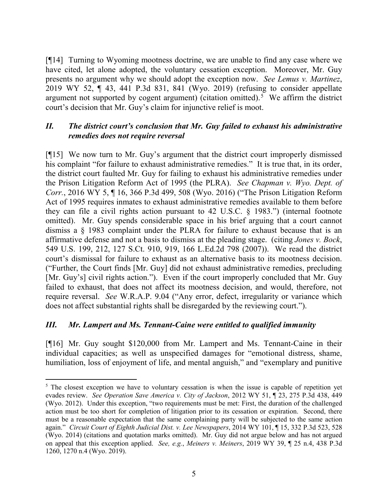[¶14] Turning to Wyoming mootness doctrine, we are unable to find any case where we have cited, let alone adopted, the voluntary cessation exception. Moreover, Mr. Guy presents no argument why we should adopt the exception now. *See Lemus v. Martinez*, 2019 WY 52, ¶ 43, 441 P.3d 831, 841 (Wyo. 2019) (refusing to consider appellate argument not supported by cogent argument) (citation omitted).<sup>[5](#page-6-0)</sup> We affirm the district court's decision that Mr. Guy's claim for injunctive relief is moot.

## *II. The district court's conclusion that Mr. Guy failed to exhaust his administrative remedies does not require reversal*

[¶15] We now turn to Mr. Guy's argument that the district court improperly dismissed his complaint "for failure to exhaust administrative remedies." It is true that, in its order, the district court faulted Mr. Guy for failing to exhaust his administrative remedies under the Prison Litigation Reform Act of 1995 (the PLRA). *See Chapman v. Wyo. Dept. of Corr.*, 2016 WY 5, ¶ 16, 366 P.3d 499, 508 (Wyo. 2016) ("The Prison Litigation Reform Act of 1995 requires inmates to exhaust administrative remedies available to them before they can file a civil rights action pursuant to 42 U.S.C. § 1983.") (internal footnote omitted). Mr. Guy spends considerable space in his brief arguing that a court cannot dismiss a § 1983 complaint under the PLRA for failure to exhaust because that is an affirmative defense and not a basis to dismiss at the pleading stage. (citing *Jones v. Bock*, 549 U.S. 199, 212, 127 S.Ct. 910, 919, 166 L.Ed.2d 798 (2007)). We read the district court's dismissal for failure to exhaust as an alternative basis to its mootness decision. ("Further, the Court finds [Mr. Guy] did not exhaust administrative remedies, precluding [Mr. Guy's] civil rights action."). Even if the court improperly concluded that Mr. Guy failed to exhaust, that does not affect its mootness decision, and would, therefore, not require reversal. *See* W.R.A.P. 9.04 ("Any error, defect, irregularity or variance which does not affect substantial rights shall be disregarded by the reviewing court.").

## *III. Mr. Lampert and Ms. Tennant-Caine were entitled to qualified immunity*

[¶16] Mr. Guy sought \$120,000 from Mr. Lampert and Ms. Tennant-Caine in their individual capacities; as well as unspecified damages for "emotional distress, shame, humiliation, loss of enjoyment of life, and mental anguish," and "exemplary and punitive

<span id="page-6-0"></span><sup>&</sup>lt;sup>5</sup> The closest exception we have to voluntary cessation is when the issue is capable of repetition yet evades review. *See Operation Save America v. City of Jackson*, 2012 WY 51, ¶ 23, 275 P.3d 438, 449 (Wyo. 2012). Under this exception, "two requirements must be met: First, the duration of the challenged action must be too short for completion of litigation prior to its cessation or expiration. Second, there must be a reasonable expectation that the same complaining party will be subjected to the same action again." *Circuit Court of Eighth Judicial Dist. v. Lee Newspapers*, 2014 WY 101, ¶ 15, 332 P.3d 523, 528 (Wyo. 2014) (citations and quotation marks omitted). Mr. Guy did not argue below and has not argued on appeal that this exception applied. *See, e.g.*, *Meiners v. Meiners*, 2019 WY 39, ¶ 25 n.4, 438 P.3d 1260, 1270 n.4 (Wyo. 2019).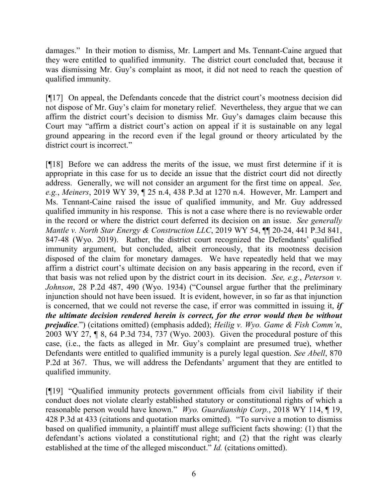damages." In their motion to dismiss, Mr. Lampert and Ms. Tennant-Caine argued that they were entitled to qualified immunity. The district court concluded that, because it was dismissing Mr. Guy's complaint as moot, it did not need to reach the question of qualified immunity.

[¶17] On appeal, the Defendants concede that the district court's mootness decision did not dispose of Mr. Guy's claim for monetary relief. Nevertheless, they argue that we can affirm the district court's decision to dismiss Mr. Guy's damages claim because this Court may "affirm a district court's action on appeal if it is sustainable on any legal ground appearing in the record even if the legal ground or theory articulated by the district court is incorrect."

[¶18] Before we can address the merits of the issue, we must first determine if it is appropriate in this case for us to decide an issue that the district court did not directly address. Generally, we will not consider an argument for the first time on appeal. *See, e.g.*, *Meiners*, 2019 WY 39, ¶ 25 n.4, 438 P.3d at 1270 n.4. However, Mr. Lampert and Ms. Tennant-Caine raised the issue of qualified immunity, and Mr. Guy addressed qualified immunity in his response. This is not a case where there is no reviewable order in the record or where the district court deferred its decision on an issue. *See generally Mantle v. North Star Energy & Construction LLC*, 2019 WY 54, ¶¶ 20-24, 441 P.3d 841, 847-48 (Wyo. 2019). Rather, the district court recognized the Defendants' qualified immunity argument, but concluded, albeit erroneously, that its mootness decision disposed of the claim for monetary damages. We have repeatedly held that we may affirm a district court's ultimate decision on any basis appearing in the record, even if that basis was not relied upon by the district court in its decision. *See, e.g.*, *Peterson v. Johnson*, 28 P.2d 487, 490 (Wyo. 1934) ("Counsel argue further that the preliminary injunction should not have been issued. It is evident, however, in so far as that injunction is concerned, that we could not reverse the case, if error was committed in issuing it, *if the ultimate decision rendered herein is correct, for the error would then be without prejudice*.") (citations omitted) (emphasis added); *Heilig v. Wyo. Game & Fish Comm'n*, 2003 WY 27, ¶ 8, 64 P.3d 734, 737 (Wyo. 2003). Given the procedural posture of this case, (i.e., the facts as alleged in Mr. Guy's complaint are presumed true), whether Defendants were entitled to qualified immunity is a purely legal question. *See Abell*, 870 P.2d at 367. Thus, we will address the Defendants' argument that they are entitled to qualified immunity.

[¶19] "Qualified immunity protects government officials from civil liability if their conduct does not violate clearly established statutory or constitutional rights of which a reasonable person would have known." *Wyo. Guardianship Corp.*, 2018 WY 114, ¶ 19, 428 P.3d at 433 (citations and quotation marks omitted). "To survive a motion to dismiss based on qualified immunity, a plaintiff must allege sufficient facts showing: (1) that the defendant's actions violated a constitutional right; and (2) that the right was clearly established at the time of the alleged misconduct." *Id.* (citations omitted).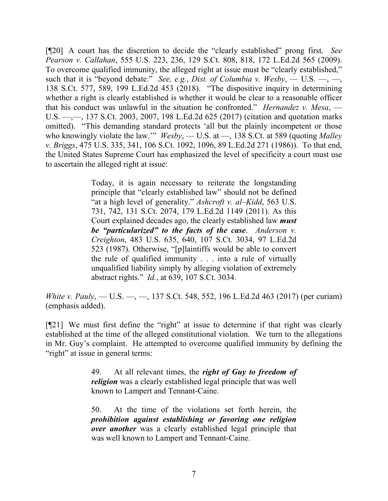[¶20] A court has the discretion to decide the "clearly established" prong first. *See Pearson v. Callahan*, 555 U.S. 223, 236, 129 S.Ct. 808, 818, 172 L.Ed.2d 565 (2009). To overcome qualified immunity, the alleged right at issue must be "clearly established," such that it is "beyond debate." *See, e.g.*, *Dist. of Columbia v. Wesby*, — U.S. —, —, 138 S.Ct. 577, 589, 199 L.Ed.2d 453 (2018). "The dispositive inquiry in determining whether a right is clearly established is whether it would be clear to a reasonable officer that his conduct was unlawful in the situation he confronted." *Hernandez v. Mesa*, — U.S. —,—, 137 S.Ct. 2003, 2007, 198 L.Ed.2d 625 (2017) (citation and quotation marks omitted). "This demanding standard protects 'all but the plainly incompetent or those who knowingly violate the law.'" *Wesby*, — U.S. at —, 138 S.Ct. at 589 (quoting *Malley v. Briggs*, 475 U.S. 335, 341, 106 S.Ct. 1092, 1096, 89 L.Ed.2d 271 (1986)). To that end, the United States Supreme Court has emphasized the level of specificity a court must use to ascertain the alleged right at issue:

> Today, it is again necessary to reiterate the longstanding principle that "clearly established law" should not be defined "at a high level of generality." *Ashcroft v. al–Kidd*, 563 U.S. 731, 742, 131 S.Ct. 2074, 179 L.Ed.2d 1149 (2011). As this Court explained decades ago, the clearly established law *must be "particularized" to the facts of the case*. *Anderson v. Creighton*, 483 U.S. 635, 640, 107 S.Ct. 3034, 97 L.Ed.2d 523 (1987). Otherwise, "[p]laintiffs would be able to convert the rule of qualified immunity . . . into a rule of virtually unqualified liability simply by alleging violation of extremely abstract rights." *Id.*, at 639, 107 S.Ct. 3034.

*White v. Pauly*, — U.S. —, —, 137 S.Ct. 548, 552, 196 L.Ed.2d 463 (2017) (per curiam) (emphasis added).

[¶21] We must first define the "right" at issue to determine if that right was clearly established at the time of the alleged constitutional violation. We turn to the allegations in Mr. Guy's complaint. He attempted to overcome qualified immunity by defining the "right" at issue in general terms:

> 49. At all relevant times, the *right of Guy to freedom of religion* was a clearly established legal principle that was well known to Lampert and Tennant-Caine.

> 50. At the time of the violations set forth herein, the *prohibition against establishing or favoring one religion over another* was a clearly established legal principle that was well known to Lampert and Tennant-Caine.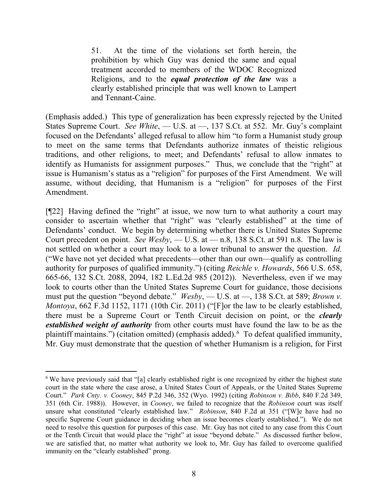51. At the time of the violations set forth herein, the prohibition by which Guy was denied the same and equal treatment accorded to members of the WDOC Recognized Religions, and to the *equal protection of the law* was a clearly established principle that was well known to Lampert and Tennant-Caine.

(Emphasis added.) This type of generalization has been expressly rejected by the United States Supreme Court. *See White*, — U.S. at —, 137 S.Ct. at 552. Mr. Guy's complaint focused on the Defendants' alleged refusal to allow him "to form a Humanist study group to meet on the same terms that Defendants authorize inmates of theistic religious traditions, and other religions, to meet; and Defendants' refusal to allow inmates to identify as Humanists for assignment purposes." Thus, we conclude that the "right" at issue is Humanism's status as a "religion" for purposes of the First Amendment. We will assume, without deciding, that Humanism is a "religion" for purposes of the First Amendment.

[¶22] Having defined the "right" at issue, we now turn to what authority a court may consider to ascertain whether that "right" was "clearly established" at the time of Defendants' conduct. We begin by determining whether there is United States Supreme Court precedent on point. *See Wesby*, — U.S. at — n.8, 138 S.Ct. at 591 n.8. The law is not settled on whether a court may look to a lower tribunal to answer the question. *Id.* ("We have not yet decided what precedents—other than our own—qualify as controlling authority for purposes of qualified immunity.") (citing *Reichle v. Howards*, 566 U.S. 658, 665-66, 132 S.Ct. 2088, 2094, 182 L.Ed.2d 985 (2012)). Nevertheless, even if we may look to courts other than the United States Supreme Court for guidance, those decisions must put the question "beyond debate." *Wesby*, — U.S. at —, 138 S.Ct. at 589; *Brown v. Montoya*, 662 F.3d 1152, 1171 (10th Cir. 2011) ("[F]or the law to be clearly established, there must be a Supreme Court or Tenth Circuit decision on point, or the *clearly established weight of authority* from other courts must have found the law to be as the plaintiff maintains.") (citation omitted) (emphasis added).<sup>[6](#page-9-0)</sup> To defeat qualified immunity, Mr. Guy must demonstrate that the question of whether Humanism is a religion, for First

<span id="page-9-0"></span><sup>&</sup>lt;sup>6</sup> We have previously said that "[a] clearly established right is one recognized by either the highest state court in the state where the case arose, a United States Court of Appeals, or the United States Supreme Court." *Park Cnty. v. Cooney*, 845 P.2d 346, 352 (Wyo. 1992) (citing *Robinson v. Bibb*, 840 F.2d 349, 351 (6th Cir. 1988)). However, in *Cooney*, we failed to recognize that the *Robinson* court was itself unsure what constituted "clearly established law." *Robinson*, 840 F.2d at 351 ("[W]e have had no specific Supreme Court guidance in deciding when an issue becomes clearly established."). We do not need to resolve this question for purposes of this case. Mr. Guy has not cited to any case from this Court or the Tenth Circuit that would place the "right" at issue "beyond debate." As discussed further below, we are satisfied that, no matter what authority we look to, Mr. Guy has failed to overcome qualified immunity on the "clearly established" prong.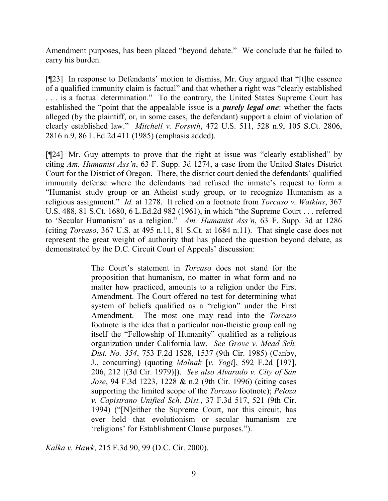Amendment purposes, has been placed "beyond debate." We conclude that he failed to carry his burden.

[¶23] In response to Defendants' motion to dismiss, Mr. Guy argued that "[t]he essence of a qualified immunity claim is factual" and that whether a right was "clearly established . . . is a factual determination." To the contrary, the United States Supreme Court has established the "point that the appealable issue is a *purely legal one*: whether the facts alleged (by the plaintiff, or, in some cases, the defendant) support a claim of violation of clearly established law." *Mitchell v. Forsyth*, 472 U.S. 511, 528 n.9, 105 S.Ct. 2806, 2816 n.9, 86 L.Ed.2d 411 (1985) (emphasis added).

[¶24] Mr. Guy attempts to prove that the right at issue was "clearly established" by citing *Am. Humanist Ass'n*, 63 F. Supp. 3d 1274, a case from the United States District Court for the District of Oregon. There, the district court denied the defendants' qualified immunity defense where the defendants had refused the inmate's request to form a "Humanist study group or an Atheist study group, or to recognize Humanism as a religious assignment." *Id.* at 1278. It relied on a footnote from *Torcaso v. Watkins*, 367 U.S. 488, 81 S.Ct. 1680, 6 L.Ed.2d 982 (1961), in which "the Supreme Court . . . referred to 'Secular Humanism' as a religion." *Am. Humanist Ass'n*, 63 F. Supp. 3d at 1286 (citing *Torcaso*, 367 U.S. at 495 n.11, 81 S.Ct. at 1684 n.11). That single case does not represent the great weight of authority that has placed the question beyond debate, as demonstrated by the D.C. Circuit Court of Appeals' discussion:

> The Court's statement in *Torcaso* does not stand for the proposition that humanism, no matter in what form and no matter how practiced, amounts to a religion under the First Amendment. The Court offered no test for determining what system of beliefs qualified as a "religion" under the First Amendment. The most one may read into the *Torcaso* footnote is the idea that a particular non-theistic group calling itself the "Fellowship of Humanity" qualified as a religious organization under California law. *See Grove v. Mead Sch. Dist. No. 354*, 753 F.2d 1528, 1537 (9th Cir. 1985) (Canby, J., concurring) (quoting *Malnak* [*v. Yogi*], 592 F.2d [197], 206, 212 [(3d Cir. 1979)]). *See also Alvarado v. City of San Jose*, 94 F.3d 1223, 1228 & n.2 (9th Cir. 1996) (citing cases supporting the limited scope of the *Torcaso* footnote); *Peloza v. Capistrano Unified Sch. Dist.*, 37 F.3d 517, 521 (9th Cir. 1994) ("[N]either the Supreme Court, nor this circuit, has ever held that evolutionism or secular humanism are 'religions' for Establishment Clause purposes.").

*Kalka v. Hawk*, 215 F.3d 90, 99 (D.C. Cir. 2000).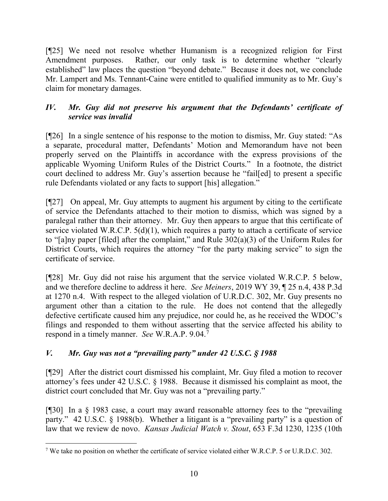[¶25] We need not resolve whether Humanism is a recognized religion for First Amendment purposes. Rather, our only task is to determine whether "clearly established" law places the question "beyond debate." Because it does not, we conclude Mr. Lampert and Ms. Tennant-Caine were entitled to qualified immunity as to Mr. Guy's claim for monetary damages.

## *IV. Mr. Guy did not preserve his argument that the Defendants' certificate of service was invalid*

[¶26] In a single sentence of his response to the motion to dismiss, Mr. Guy stated: "As a separate, procedural matter, Defendants' Motion and Memorandum have not been properly served on the Plaintiffs in accordance with the express provisions of the applicable Wyoming Uniform Rules of the District Courts." In a footnote, the district court declined to address Mr. Guy's assertion because he "fail[ed] to present a specific rule Defendants violated or any facts to support [his] allegation."

[¶27] On appeal, Mr. Guy attempts to augment his argument by citing to the certificate of service the Defendants attached to their motion to dismiss, which was signed by a paralegal rather than their attorney. Mr. Guy then appears to argue that this certificate of service violated W.R.C.P. 5(d)(1), which requires a party to attach a certificate of service to "[a]ny paper [filed] after the complaint," and Rule 302(a)(3) of the Uniform Rules for District Courts, which requires the attorney "for the party making service" to sign the certificate of service.

[¶28] Mr. Guy did not raise his argument that the service violated W.R.C.P. 5 below, and we therefore decline to address it here. *See Meiners*, 2019 WY 39, ¶ 25 n.4, 438 P.3d at 1270 n.4. With respect to the alleged violation of U.R.D.C. 302, Mr. Guy presents no argument other than a citation to the rule. He does not contend that the allegedly defective certificate caused him any prejudice, nor could he, as he received the WDOC's filings and responded to them without asserting that the service affected his ability to respond in a timely manner. *See* W.R.A.P. 9.04.[7](#page-11-0)

## *V. Mr. Guy was not a "prevailing party" under 42 U.S.C. § 1988*

[¶29] After the district court dismissed his complaint, Mr. Guy filed a motion to recover attorney's fees under 42 U.S.C. § 1988. Because it dismissed his complaint as moot, the district court concluded that Mr. Guy was not a "prevailing party."

[¶30] In a § 1983 case, a court may award reasonable attorney fees to the "prevailing party." 42 U.S.C. § 1988(b). Whether a litigant is a "prevailing party" is a question of law that we review de novo. *Kansas Judicial Watch v. Stout*, 653 F.3d 1230, 1235 (10th

<span id="page-11-0"></span> <sup>7</sup> We take no position on whether the certificate of service violated either W.R.C.P. 5 or U.R.D.C. 302.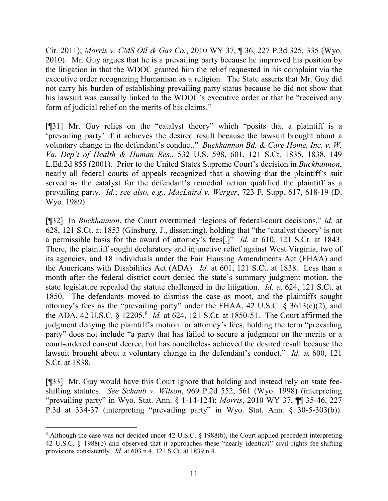Cir. 2011); *Morris v. CMS Oil & Gas Co.*, 2010 WY 37, ¶ 36, 227 P.3d 325, 335 (Wyo. 2010). Mr. Guy argues that he is a prevailing party because he improved his position by the litigation in that the WDOC granted him the relief requested in his complaint via the executive order recognizing Humanism as a religion. The State asserts that Mr. Guy did not carry his burden of establishing prevailing party status because he did not show that his lawsuit was causally linked to the WDOC's executive order or that he "received any form of judicial relief on the merits of his claims."

[¶31] Mr. Guy relies on the "catalyst theory" which "posits that a plaintiff is a 'prevailing party' if it achieves the desired result because the lawsuit brought about a voluntary change in the defendant's conduct." *Buckhannon Bd. & Care Home, Inc. v. W. Va. Dep't of Health & Human Res.*, 532 U.S. 598, 601, 121 S.Ct. 1835, 1838, 149 L.Ed.2d 855 (2001). Prior to the United States Supreme Court's decision in *Buckhannon*, nearly all federal courts of appeals recognized that a showing that the plaintiff's suit served as the catalyst for the defendant's remedial action qualified the plaintiff as a prevailing party. *Id.*; *see also, e.g.*, *MacLaird v. Werger*, 723 F. Supp. 617, 618-19 (D. Wyo. 1989).

[¶32] In *Buckhannon*, the Court overturned "legions of federal-court decisions," *id.* at 628, 121 S.Ct. at 1853 (Ginsburg, J., dissenting), holding that "the 'catalyst theory' is not a permissible basis for the award of attorney's fees[.]" *Id.* at 610, 121 S.Ct. at 1843. There, the plaintiff sought declaratory and injunctive relief against West Virginia, two of its agencies, and 18 individuals under the Fair Housing Amendments Act (FHAA) and the Americans with Disabilities Act (ADA). *Id.* at 601, 121 S.Ct. at 1838. Less than a month after the federal district court denied the state's summary judgment motion, the state legislature repealed the statute challenged in the litigation. *Id.* at 624, 121 S.Ct. at 1850. The defendants moved to dismiss the case as moot, and the plaintiffs sought attorney's fees as the "prevailing party" under the FHAA, 42 U.S.C. § 3613(c)(2), and the ADA, 42 U.S.C. § 12205.[8](#page-12-0) *Id.* at 624, 121 S.Ct. at 1850-51. The Court affirmed the judgment denying the plaintiff's motion for attorney's fees, holding the term "prevailing party" does not include "a party that has failed to secure a judgment on the merits or a court-ordered consent decree, but has nonetheless achieved the desired result because the lawsuit brought about a voluntary change in the defendant's conduct." *Id.* at 600, 121 S.Ct. at 1838.

[¶33] Mr. Guy would have this Court ignore that holding and instead rely on state feeshifting statutes. *See Schaub v. Wilson*, 969 P.2d 552, 561 (Wyo. 1998) (interpreting "prevailing party" in Wyo. Stat. Ann. § 1-14-124); *Morris*, 2010 WY 37, ¶¶ 35-46, 227 P.3d at 334-37 (interpreting "prevailing party" in Wyo. Stat. Ann. § 30-5-303(b)).

<span id="page-12-0"></span> <sup>8</sup> Although the case was not decided under 42 U.S.C. § 1988(b), the Court applied precedent interpreting 42 U.S.C. § 1988(b) and observed that it approaches these "nearly identical" civil rights fee-shifting provisions consistently. *Id.* at 603 n.4, 121 S.Ct. at 1839 n.4.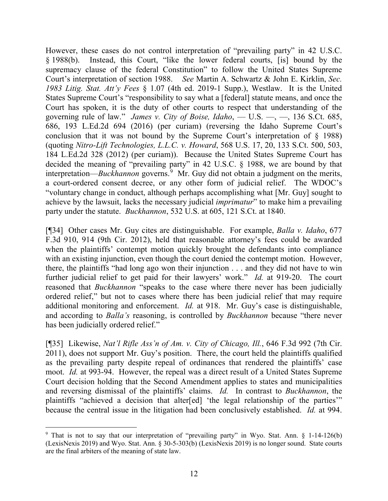However, these cases do not control interpretation of "prevailing party" in 42 U.S.C. § 1988(b). Instead, this Court, "like the lower federal courts, [is] bound by the supremacy clause of the federal Constitution" to follow the United States Supreme Court's interpretation of section 1988. *See* Martin A. Schwartz & John E. Kirklin, *Sec. 1983 Litig. Stat. Att'y Fees* § 1.07 (4th ed. 2019-1 Supp.), Westlaw. It is the United States Supreme Court's "responsibility to say what a [federal] statute means, and once the Court has spoken, it is the duty of other courts to respect that understanding of the governing rule of law." *James v. City of Boise, Idaho*, — U.S. —, —, 136 S.Ct. 685, 686, 193 L.Ed.2d 694 (2016) (per curiam) (reversing the Idaho Supreme Court's conclusion that it was not bound by the Supreme Court's interpretation of § 1988) (quoting *Nitro-Lift Technologies, L.L.C. v. Howard*, 568 U.S. 17, 20, 133 S.Ct. 500, 503, 184 L.Ed.2d 328 (2012) (per curiam)). Because the United States Supreme Court has decided the meaning of "prevailing party" in 42 U.S.C. § 1988, we are bound by that interpretation—*Buckhannon* governs.<sup>[9](#page-13-0)</sup> Mr. Guy did not obtain a judgment on the merits, a court-ordered consent decree, or any other form of judicial relief. The WDOC's "voluntary change in conduct, although perhaps accomplishing what [Mr. Guy] sought to achieve by the lawsuit, lacks the necessary judicial *imprimatur*" to make him a prevailing party under the statute. *Buckhannon*, 532 U.S. at 605, 121 S.Ct. at 1840.

[¶34] Other cases Mr. Guy cites are distinguishable. For example, *Balla v. Idaho*, 677 F.3d 910, 914 (9th Cir. 2012), held that reasonable attorney's fees could be awarded when the plaintiffs' contempt motion quickly brought the defendants into compliance with an existing injunction, even though the court denied the contempt motion. However, there, the plaintiffs "had long ago won their injunction . . . and they did not have to win further judicial relief to get paid for their lawyers' work." *Id.* at 919-20. The court reasoned that *Buckhannon* "speaks to the case where there never has been judicially ordered relief," but not to cases where there has been judicial relief that may require additional monitoring and enforcement. *Id.* at 918. Mr. Guy's case is distinguishable, and according to *Balla's* reasoning, is controlled by *Buckhannon* because "there never has been judicially ordered relief."

[¶35] Likewise, *Nat'l Rifle Ass'n of Am. v. City of Chicago, Ill.*, 646 F.3d 992 (7th Cir. 2011), does not support Mr. Guy's position. There, the court held the plaintiffs qualified as the prevailing party despite repeal of ordinances that rendered the plaintiffs' case moot. *Id.* at 993-94. However, the repeal was a direct result of a United States Supreme Court decision holding that the Second Amendment applies to states and municipalities and reversing dismissal of the plaintiffs' claims. *Id.* In contrast to *Buckhannon*, the plaintiffs "achieved a decision that alter[ed] 'the legal relationship of the parties'" because the central issue in the litigation had been conclusively established. *Id.* at 994.

<span id="page-13-0"></span><sup>&</sup>lt;sup>9</sup> That is not to say that our interpretation of "prevailing party" in Wyo. Stat. Ann. § 1-14-126(b) (LexisNexis 2019) and Wyo. Stat. Ann. § 30-5-303(b) (LexisNexis 2019) is no longer sound. State courts are the final arbiters of the meaning of state law.